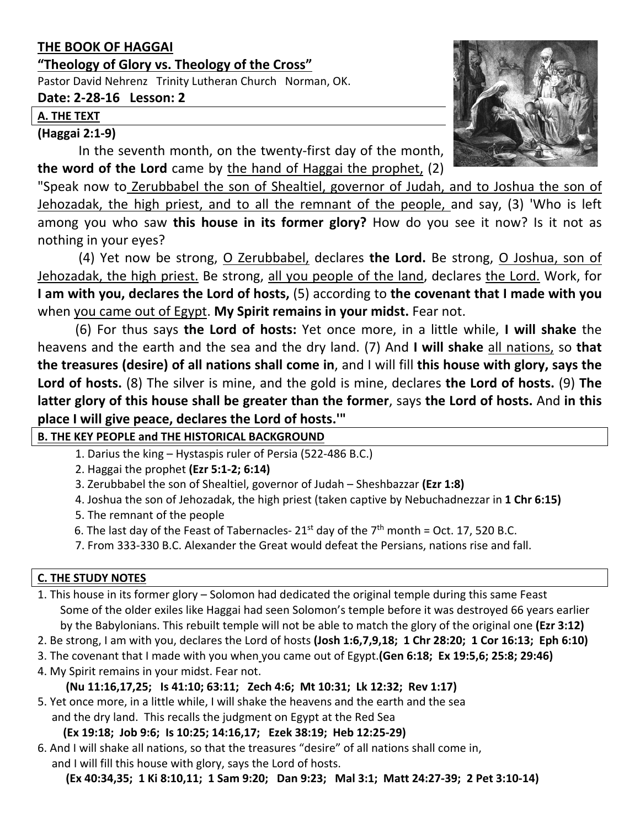# **THE BOOK OF HAGGAI**

## **"Theology of Glory vs. Theology of the Cross"**

Pastor David Nehrenz Trinity Lutheran Church Norman, OK.

## **Date: 2-28-16 Lesson: 2**

#### **A. THE TEXT**

## **(Haggai 2:1-9)**

In the seventh month, on the twenty-first day of the month, **the word of the Lord** came by the hand of Haggai the prophet, (2)

"Speak now to Zerubbabel the son of Shealtiel, governor of Judah, and to Joshua the son of Jehozadak, the high priest, and to all the remnant of the people, and say, (3) 'Who is left among you who saw **this house in its former glory?** How do you see it now? Is it not as nothing in your eyes?

(4) Yet now be strong, O Zerubbabel, declares **the Lord.** Be strong, O Joshua, son of Jehozadak, the high priest. Be strong, all you people of the land, declares the Lord. Work, for **I am with you, declares the Lord of hosts,** (5) according to **the covenant that I made with you**  when you came out of Egypt. **My Spirit remains in your midst.** Fear not.

(6) For thus says **the Lord of hosts:** Yet once more, in a little while, **I will shake** the heavens and the earth and the sea and the dry land. (7) And **I will shake** all nations, so **that the treasures (desire) of all nations shall come in**, and I will fill **this house with glory, says the Lord of hosts.** (8) The silver is mine, and the gold is mine, declares **the Lord of hosts.** (9) **The latter glory of this house shall be greater than the former**, says **the Lord of hosts.** And **in this place I will give peace, declares the Lord of hosts.'"**

## **B. THE KEY PEOPLE and THE HISTORICAL BACKGROUND**

- 1. Darius the king Hystaspis ruler of Persia (522-486 B.C.)
- 2. Haggai the prophet **(Ezr 5:1-2; 6:14)**
- 3. Zerubbabel the son of Shealtiel, governor of Judah Sheshbazzar **(Ezr 1:8)**
- 4. Joshua the son of Jehozadak, the high priest (taken captive by Nebuchadnezzar in **1 Chr 6:15)**
- 5. The remnant of the people
- 6. The last day of the Feast of Tabernacles-  $21^{st}$  day of the  $7^{th}$  month = Oct. 17, 520 B.C.
- 7. From 333-330 B.C. Alexander the Great would defeat the Persians, nations rise and fall.

## **C. THE STUDY NOTES**

1. This house in its former glory – Solomon had dedicated the original temple during this same Feast Some of the older exiles like Haggai had seen Solomon's temple before it was destroyed 66 years earlier by the Babylonians. This rebuilt temple will not be able to match the glory of the original one **(Ezr 3:12)**

- 2. Be strong, I am with you, declares the Lord of hosts **(Josh 1:6,7,9,18; 1 Chr 28:20; 1 Cor 16:13; Eph 6:10)**
- 3. The covenant that I made with you when you came out of Egypt.**(Gen 6:18; Ex 19:5,6; 25:8; 29:46)**
- 4. My Spirit remains in your midst. Fear not.
	- **(Nu 11:16,17,25; Is 41:10; 63:11; Zech 4:6; Mt 10:31; Lk 12:32; Rev 1:17)**
- 5. Yet once more, in a little while, I will shake the heavens and the earth and the sea and the dry land. This recalls the judgment on Egypt at the Red Sea

**(Ex 19:18; Job 9:6; Is 10:25; 14:16,17; Ezek 38:19; Heb 12:25-29)**

6. And I will shake all nations, so that the treasures "desire" of all nations shall come in, and I will fill this house with glory, says the Lord of hosts.

**(Ex 40:34,35; 1 Ki 8:10,11; 1 Sam 9:20; Dan 9:23; Mal 3:1; Matt 24:27-39; 2 Pet 3:10-14)**